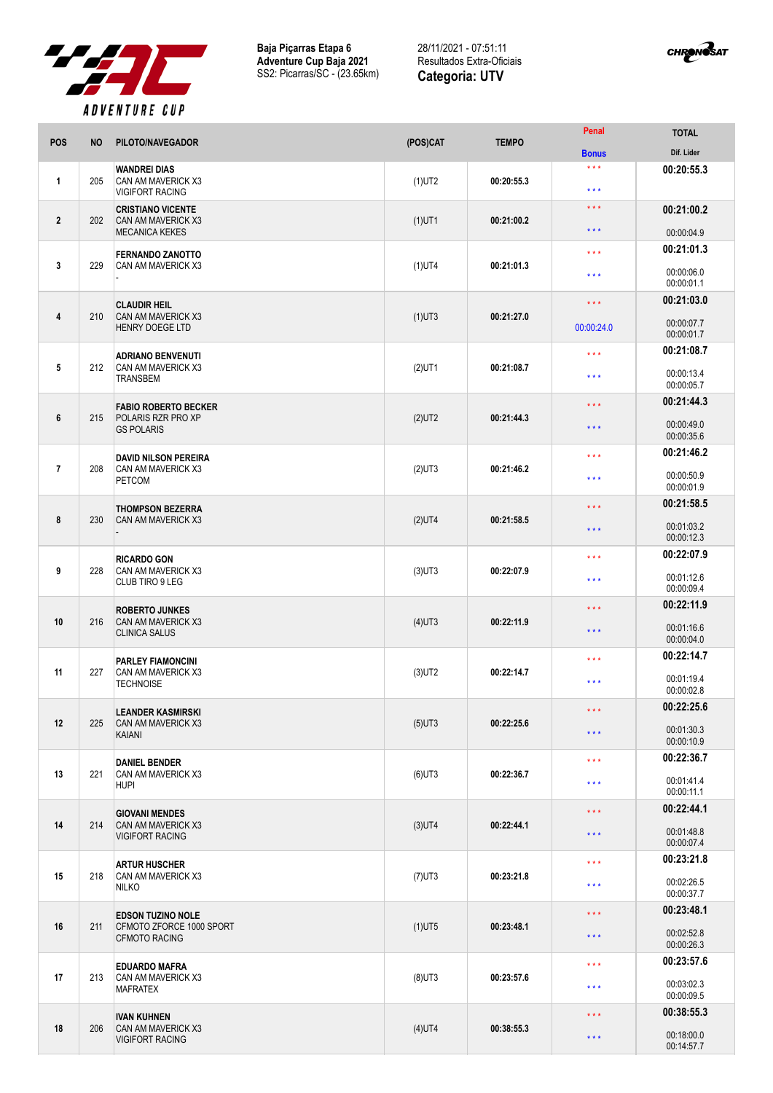

**Baja Piçarras Etapa 6 Adventure Cup Baja 2021** SS2: Picarras/SC - (23.65km)

28/11/2021 - 07:51:1 1 Resultados Extra-Oficiais **Categoria: UTV**



| <b>POS</b>     | <b>NO</b> | PILOTO/NAVEGADOR                                                       | (POS)CAT  | <b>TEMPO</b> | Penal               | <b>TOTAL</b>             |
|----------------|-----------|------------------------------------------------------------------------|-----------|--------------|---------------------|--------------------------|
|                |           |                                                                        |           |              | <b>Bonus</b>        | Dif. Lider               |
| $\mathbf{1}$   | 205       | <b>WANDREI DIAS</b><br>CAN AM MAVERICK X3<br><b>VIGIFORT RACING</b>    | $(1)$ UT2 | 00:20:55.3   | $***$<br>$***$      | 00:20:55.3               |
| $\overline{2}$ | 202       | <b>CRISTIANO VICENTE</b><br>CAN AM MAVERICK X3                         | $(1)$ UT1 | 00:21:00.2   | $***$<br>$***$      | 00:21:00.2               |
|                |           | <b>MECANICA KEKES</b>                                                  |           |              |                     | 00:00:04.9               |
| 3              | 229       | <b>FERNANDO ZANOTTO</b><br>CAN AM MAVERICK X3                          | $(1)$ UT4 | 00:21:01.3   | $***$<br>$***$      | 00:21:01.3<br>00:00:06.0 |
|                |           |                                                                        |           |              |                     | 00:00:01.1<br>00:21:03.0 |
| $\overline{4}$ | 210       | <b>CLAUDIR HEIL</b><br>CAN AM MAVERICK X3<br>HENRY DOEGE LTD           | $(1)$ UT3 | 00:21:27.0   | $***$<br>00:00:24.0 | 00:00:07.7<br>00:00:01.7 |
|                |           |                                                                        |           |              |                     | 00:21:08.7               |
| 5              | 212       | <b>ADRIANO BENVENUTI</b><br>CAN AM MAVERICK X3<br>TRANSBEM             | $(2)$ UT1 | 00:21:08.7   | $***$<br>$***$      | 00:00:13.4<br>00:00:05.7 |
|                |           |                                                                        |           | 00:21:44.3   | $\star \star \star$ | 00:21:44.3               |
| 6              | 215       | <b>FABIO ROBERTO BECKER</b><br>POLARIS RZR PRO XP<br><b>GS POLARIS</b> | $(2)$ UT2 |              | $***$               | 00:00:49.0<br>00:00:35.6 |
|                |           | <b>DAVID NILSON PEREIRA</b>                                            |           |              | $***$               | 00:21:46.2               |
| $\overline{7}$ | 208       | CAN AM MAVERICK X3<br>PETCOM                                           | $(2)$ UT3 | 00:21:46.2   | $***$               | 00:00:50.9<br>00:00:01.9 |
|                |           | <b>THOMPSON BEZERRA</b><br>CAN AM MAVERICK X3                          | $(2)$ UT4 |              | $***$               | 00:21:58.5               |
| 8              | 230       |                                                                        |           | 00:21:58.5   | $***$               | 00:01:03.2<br>00:00:12.3 |
|                |           | <b>RICARDO GON</b><br>CAN AM MAVERICK X3<br>CLUB TIRO 9 LEG            | $(3)$ UT3 |              | $***$               | 00:22:07.9               |
| 9              | 228       |                                                                        |           | 00:22:07.9   | $***$               | 00:01:12.6<br>00:00:09.4 |
|                |           | <b>ROBERTO JUNKES</b><br>CAN AM MAVERICK X3<br><b>CLINICA SALUS</b>    | $(4)$ UT3 | 00:22:11.9   | $\star \star \star$ | 00:22:11.9               |
| 10             | 216       |                                                                        |           |              | $***$               | 00:01:16.6<br>00:00:04.0 |
|                |           | <b>PARLEY FIAMONCINI</b>                                               |           | 00:22:14.7   | $***$               | 00:22:14.7               |
| 11             | 227       | CAN AM MAVERICK X3<br><b>TECHNOISE</b>                                 | $(3)$ UT2 |              | $***$               | 00:01:19.4<br>00:00:02.8 |
|                |           | <b>LEANDER KASMIRSKI</b>                                               |           | 00:22:25.6   | $***$               | 00:22:25.6               |
| 12             | 225       | CAN AM MAVERICK X3<br>KAIANI                                           | $(5)$ UT3 |              | $***$               | 00:01:30.3<br>00:00:10.9 |
|                |           | <b>DANIEL BENDER</b>                                                   |           | 00:22:36.7   | $***$               | 00:22:36.7               |
| 13             | 221       | CAN AM MAVERICK X3<br><b>HUPI</b>                                      | $(6)$ UT3 |              | $***$               | 00:01:41.4<br>00:00:11.1 |
|                | 214       | <b>GIOVANI MENDES</b><br>CAN AM MAVERICK X3<br><b>VIGIFORT RACING</b>  | $(3)$ UT4 | 00:22:44.1   | $\star\star\star$   | 00:22:44.1               |
| 14             |           |                                                                        |           |              | $***$               | 00:01:48.8<br>00:00:07.4 |
|                |           | <b>ARTUR HUSCHER</b>                                                   | $(7)$ UT3 | 00:23:21.8   | $***$               | 00:23:21.8               |
| 15             | 218       | CAN AM MAVERICK X3<br><b>NILKO</b>                                     |           |              | $***$               | 00:02:26.5<br>00:00:37.7 |
|                |           | <b>EDSON TUZINO NOLE</b>                                               |           | 00:23:48.1   | $***$               | 00:23:48.1               |
| 16             | 211       | CFMOTO ZFORCE 1000 SPORT<br><b>CFMOTO RACING</b>                       | $(1)$ UT5 |              | $***$               | 00:02:52.8<br>00:00:26.3 |
|                |           | <b>EDUARDO MAFRA</b>                                                   |           | 00:23:57.6   | $\star\star\star$   | 00:23:57.6               |
| 17             | 213       | CAN AM MAVERICK X3<br><b>MAFRATEX</b>                                  | $(8)$ UT3 |              | $***$               | 00:03:02.3<br>00:00:09.5 |
| 18             | 206       | <b>IVAN KUHNEN</b><br>CAN AM MAVERICK X3<br><b>VIGIFORT RACING</b>     | $(4)$ UT4 | 00:38:55.3   | $\star\star\star$   | 00:38:55.3               |
|                |           |                                                                        |           |              | $\star\star\star$   | 00:18:00.0<br>00:14:57.7 |